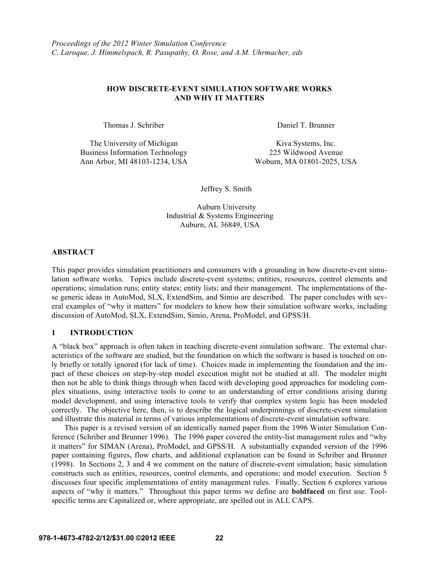# **HOW DISCRETE-EVENT SIMULATION SOFTWARE WORKS AND WHY IT MATTERS**

Thomas J. Schriber **Daniel T. Brunner** Daniel T. Brunner

The University of Michigan Kiva Systems, Inc. Business Information Technology 225 Wildwood Avenue Ann Arbor, MI 48103-1234, USA Woburn, MA 01801-2025, USA

Jeffrey S. Smith

Auburn University Industrial & Systems Engineering Auburn, AL 36849, USA

## **ABSTRACT**

This paper provides simulation practitioners and consumers with a grounding in how discrete-event simulation software works. Topics include discrete-event systems; entities, resources, control elements and operations; simulation runs; entity states; entity lists; and their management. The implementations of these generic ideas in AutoMod, SLX, ExtendSim, and Simio are described. The paper concludes with several examples of "why it matters" for modelers to know how their simulation software works, including discussion of AutoMod, SLX, ExtendSim, Simio, Arena, ProModel, and GPSS/H.

# **1 INTRODUCTION**

A "black box" approach is often taken in teaching discrete-event simulation software. The external characteristics of the software are studied, but the foundation on which the software is based is touched on only briefly or totally ignored (for lack of time). Choices made in implementing the foundation and the impact of these choices on step-by-step model execution might not be studied at all. The modeler might then not be able to think things through when faced with developing good approaches for modeling complex situations, using interactive tools to come to an understanding of error conditions arising during model development, and using interactive tools to verify that complex system logic has been modeled correctly. The objective here, then, is to describe the logical underpinnings of discrete-event simulation and illustrate this material in terms of various implementations of discrete-event simulation software.

This paper is a revised version of an identically named paper from the 1996 Winter Simulation Conference (Schriber and Brunner 1996). The 1996 paper covered the entity-list management rules and "why it matters" for SIMAN (Arena), ProModel, and GPSS/H. A substantially expanded version of the 1996 paper containing figures, flow charts, and additional explanation can be found in Schriber and Brunner (1998). In Sections 2, 3 and 4 we comment on the nature of discrete-event simulation; basic simulation constructs such as entities, resources, control elements, and operations; and model execution. Section 5 discusses four specific implementations of entity management rules. Finally, Section 6 explores various aspects of "why it matters." Throughout this paper terms we define are **boldfaced** on first use. Toolspecific terms are Capitalized or, where appropriate, are spelled out in ALL CAPS.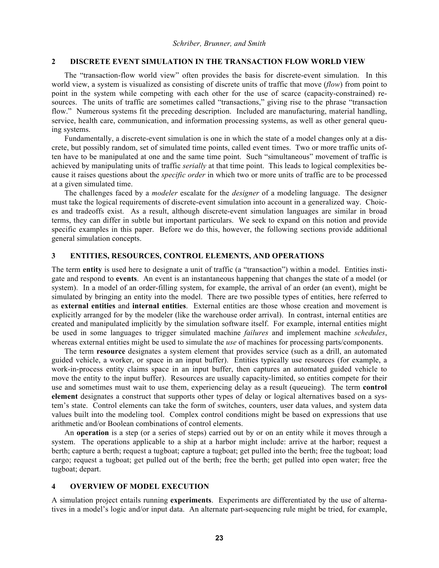## **2 DISCRETE EVENT SIMULATION IN THE TRANSACTION FLOW WORLD VIEW**

The "transaction-flow world view" often provides the basis for discrete-event simulation. In this world view, a system is visualized as consisting of discrete units of traffic that move (*flow*) from point to point in the system while competing with each other for the use of scarce (capacity-constrained) resources. The units of traffic are sometimes called "transactions," giving rise to the phrase "transaction flow." Numerous systems fit the preceding description. Included are manufacturing, material handling, service, health care, communication, and information processing systems, as well as other general queuing systems.

Fundamentally, a discrete-event simulation is one in which the state of a model changes only at a discrete, but possibly random, set of simulated time points, called event times. Two or more traffic units often have to be manipulated at one and the same time point. Such "simultaneous" movement of traffic is achieved by manipulating units of traffic *serially* at that time point. This leads to logical complexities because it raises questions about the *specific order* in which two or more units of traffic are to be processed at a given simulated time.

The challenges faced by a *modeler* escalate for the *designer* of a modeling language. The designer must take the logical requirements of discrete-event simulation into account in a generalized way. Choices and tradeoffs exist. As a result, although discrete-event simulation languages are similar in broad terms, they can differ in subtle but important particulars. We seek to expand on this notion and provide specific examples in this paper. Before we do this, however, the following sections provide additional general simulation concepts.

## **3 ENTITIES, RESOURCES, CONTROL ELEMENTS, AND OPERATIONS**

The term **entity** is used here to designate a unit of traffic (a "transaction") within a model. Entities instigate and respond to **events**. An event is an instantaneous happening that changes the state of a model (or system). In a model of an order-filling system, for example, the arrival of an order (an event), might be simulated by bringing an entity into the model. There are two possible types of entities, here referred to as **external entities** and **internal entities**. External entities are those whose creation and movement is explicitly arranged for by the modeler (like the warehouse order arrival). In contrast, internal entities are created and manipulated implicitly by the simulation software itself. For example, internal entities might be used in some languages to trigger simulated machine *failures* and implement machine *schedules*, whereas external entities might be used to simulate the *use* of machines for processing parts/components.

The term **resource** designates a system element that provides service (such as a drill, an automated guided vehicle, a worker, or space in an input buffer). Entities typically use resources (for example, a work-in-process entity claims space in an input buffer, then captures an automated guided vehicle to move the entity to the input buffer). Resources are usually capacity-limited, so entities compete for their use and sometimes must wait to use them, experiencing delay as a result (queueing). The term **control element** designates a construct that supports other types of delay or logical alternatives based on a system's state. Control elements can take the form of switches, counters, user data values, and system data values built into the modeling tool. Complex control conditions might be based on expressions that use arithmetic and/or Boolean combinations of control elements.

An **operation** is a step (or a series of steps) carried out by or on an entity while it moves through a system. The operations applicable to a ship at a harbor might include: arrive at the harbor; request a berth; capture a berth; request a tugboat; capture a tugboat; get pulled into the berth; free the tugboat; load cargo; request a tugboat; get pulled out of the berth; free the berth; get pulled into open water; free the tugboat; depart.

# **4 OVERVIEW OF MODEL EXECUTION**

A simulation project entails running **experiments**. Experiments are differentiated by the use of alternatives in a model's logic and/or input data. An alternate part-sequencing rule might be tried, for example,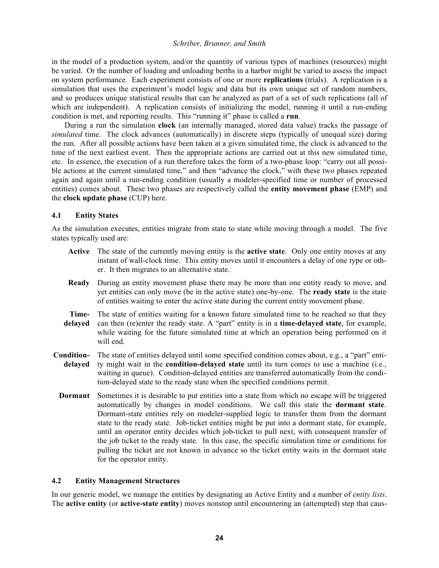in the model of a production system, and/or the quantity of various types of machines (resources) might be varied. Or the number of loading and unloading berths in a harbor might be varied to assess the impact on system performance. Each experiment consists of one or more **replications** (trials). A replication is a simulation that uses the experiment's model logic and data but its own unique set of random numbers, and so produces unique statistical results that can be analyzed as part of a set of such replications (all of which are independent). A replication consists of initializing the model, running it until a run-ending condition is met, and reporting results. This "running it" phase is called a **run**.

During a run the simulation **clock** (an internally managed, stored data value) tracks the passage of *simulated* time. The clock advances (automatically) in discrete steps (typically of unequal size) during the run. After all possible actions have been taken at a given simulated time, the clock is advanced to the time of the next earliest event. Then the appropriate actions are carried out at this new simulated time, etc. In essence, the execution of a run therefore takes the form of a two-phase loop: "carry out all possible actions at the current simulated time," and then "advance the clock," with these two phases repeated again and again until a run-ending condition (usually a modeler-specified time or number of processed entities) comes about. These two phases are respectively called the **entity movement phase** (EMP) and the **clock update phase** (CUP) here.

## **4.1 Entity States**

As the simulation executes, entities migrate from state to state while moving through a model. The five states typically used are:

- **Active** The state of the currently moving entity is the **active state**. Only one entity moves at any instant of wall-clock time. This entity moves until it encounters a delay of one type or other. It then migrates to an alternative state.
- **Ready** During an entity movement phase there may be more than one entity ready to move, and yet entities can only move (be in the active state) one-by-one. The **ready state** is the state of entities waiting to enter the active state during the current entity movement phase.
- **Timedelayed** The state of entities waiting for a known future simulated time to be reached so that they can then (re)enter the ready state. A "part" entity is in a **time-delayed state**, for example, while waiting for the future simulated time at which an operation being performed on it will end.
- **Conditiondelayed** The state of entities delayed until some specified condition comes about, e.g., a "part" entity might wait in the **condition-delayed state** until its turn comes to use a machine (i.e., waiting in queue). Condition-delayed entities are transferred automatically from the condition-delayed state to the ready state when the specified conditions permit.
	- **Dormant** Sometimes it is desirable to put entities into a state from which no escape will be triggered automatically by changes in model conditions. We call this state the **dormant state**. Dormant-state entities rely on modeler-supplied logic to transfer them from the dormant state to the ready state. Job-ticket entities might be put into a dormant state, for example, until an operator entity decides which job-ticket to pull next, with consequent transfer of the job ticket to the ready state. In this case, the specific simulation time or conditions for pulling the ticket are not known in advance so the ticket entity waits in the dormant state for the operator entity.

# **4.2 Entity Management Structures**

In our generic model, we manage the entities by designating an Active Entity and a number of *entity lists*. The **active entity** (or **active-state entity**) moves nonstop until encountering an (attempted) step that caus-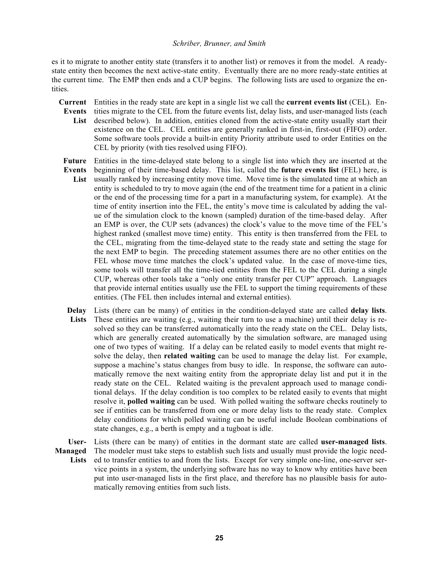es it to migrate to another entity state (transfers it to another list) or removes it from the model. A readystate entity then becomes the next active-state entity. Eventually there are no more ready-state entities at the current time. The EMP then ends and a CUP begins. The following lists are used to organize the en**tities** 

**Current**  Entities in the ready state are kept in a single list we call the **current events list** (CEL). En-**Events**  List described below). In addition, entities cloned from the active-state entity usually start their tities migrate to the CEL from the future events list, delay lists, and user-managed lists (each existence on the CEL. CEL entities are generally ranked in first-in, first-out (FIFO) order. Some software tools provide a built-in entity Priority attribute used to order Entities on the CEL by priority (with ties resolved using FIFO).

**Future**  Entities in the time-delayed state belong to a single list into which they are inserted at the

- **Events List** beginning of their time-based delay. This list, called the **future events list** (FEL) here, is usually ranked by increasing entity move time. Move time is the simulated time at which an entity is scheduled to try to move again (the end of the treatment time for a patient in a clinic or the end of the processing time for a part in a manufacturing system, for example). At the time of entity insertion into the FEL, the entity's move time is calculated by adding the value of the simulation clock to the known (sampled) duration of the time-based delay. After an EMP is over, the CUP sets (advances) the clock's value to the move time of the FEL's highest ranked (smallest move time) entity. This entity is then transferred from the FEL to the CEL, migrating from the time-delayed state to the ready state and setting the stage for the next EMP to begin. The preceding statement assumes there are no other entities on the FEL whose move time matches the clock's updated value. In the case of move-time ties, some tools will transfer all the time-tied entities from the FEL to the CEL during a single CUP, whereas other tools take a "only one entity transfer per CUP" approach. Languages that provide internal entities usually use the FEL to support the timing requirements of these entities. (The FEL then includes internal and external entities).
- **Delay**  Lists (there can be many) of entities in the condition-delayed state are called **delay lists**. **Lists** These entities are waiting (e.g., waiting their turn to use a machine) until their delay is resolved so they can be transferred automatically into the ready state on the CEL. Delay lists, which are generally created automatically by the simulation software, are managed using one of two types of waiting. If a delay can be related easily to model events that might resolve the delay, then **related waiting** can be used to manage the delay list. For example, suppose a machine's status changes from busy to idle. In response, the software can automatically remove the next waiting entity from the appropriate delay list and put it in the ready state on the CEL. Related waiting is the prevalent approach used to manage conditional delays. If the delay condition is too complex to be related easily to events that might resolve it, **polled waiting** can be used. With polled waiting the software checks routinely to see if entities can be transferred from one or more delay lists to the ready state. Complex delay conditions for which polled waiting can be useful include Boolean combinations of state changes, e.g., a berth is empty and a tugboat is idle.

**User-Managed Lists** Lists (there can be many) of entities in the dormant state are called **user-managed lists**. The modeler must take steps to establish such lists and usually must provide the logic needed to transfer entities to and from the lists. Except for very simple one-line, one-server service points in a system, the underlying software has no way to know why entities have been put into user-managed lists in the first place, and therefore has no plausible basis for automatically removing entities from such lists.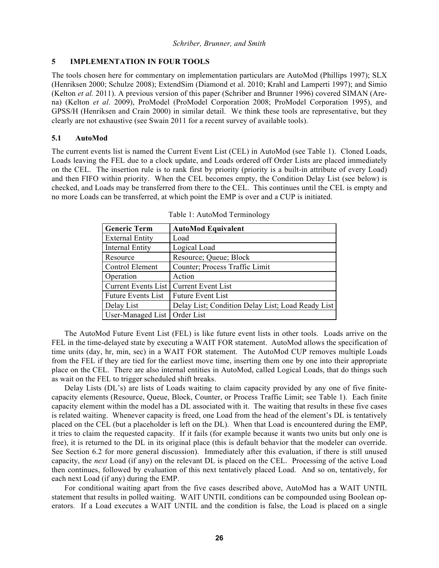# **5 IMPLEMENTATION IN FOUR TOOLS**

The tools chosen here for commentary on implementation particulars are AutoMod (Phillips 1997); SLX (Henriksen 2000; Schulze 2008); ExtendSim (Diamond et al. 2010; Krahl and Lamperti 1997); and Simio (Kelton *et al.* 2011). A previous version of this paper (Schriber and Brunner 1996) covered SIMAN (Arena) (Kelton *et al*. 2009), ProModel (ProModel Corporation 2008; ProModel Corporation 1995), and GPSS/H (Henriksen and Crain 2000) in similar detail. We think these tools are representative, but they clearly are not exhaustive (see Swain 2011 for a recent survey of available tools).

# **5.1 AutoMod**

The current events list is named the Current Event List (CEL) in AutoMod (see Table 1). Cloned Loads, Loads leaving the FEL due to a clock update, and Loads ordered off Order Lists are placed immediately on the CEL. The insertion rule is to rank first by priority (priority is a built-in attribute of every Load) and then FIFO within priority. When the CEL becomes empty, the Condition Delay List (see below) is checked, and Loads may be transferred from there to the CEL. This continues until the CEL is empty and no more Loads can be transferred, at which point the EMP is over and a CUP is initiated.

| <b>Generic Term</b>            | <b>AutoMod Equivalent</b>                         |
|--------------------------------|---------------------------------------------------|
| <b>External Entity</b>         | Load                                              |
| <b>Internal Entity</b>         | Logical Load                                      |
| Resource                       | Resource; Queue; Block                            |
| <b>Control Element</b>         | Counter; Process Traffic Limit                    |
| Operation                      | Action                                            |
| Current Events List            | Current Event List                                |
| <b>Future Events List</b>      | <b>Future Event List</b>                          |
| Delay List                     | Delay List; Condition Delay List; Load Ready List |
| User-Managed List   Order List |                                                   |

Table 1: AutoMod Terminology

The AutoMod Future Event List (FEL) is like future event lists in other tools. Loads arrive on the FEL in the time-delayed state by executing a WAIT FOR statement. AutoMod allows the specification of time units (day, hr, min, sec) in a WAIT FOR statement. The AutoMod CUP removes multiple Loads from the FEL if they are tied for the earliest move time, inserting them one by one into their appropriate place on the CEL. There are also internal entities in AutoMod, called Logical Loads, that do things such as wait on the FEL to trigger scheduled shift breaks.

Delay Lists (DL's) are lists of Loads waiting to claim capacity provided by any one of five finitecapacity elements (Resource, Queue, Block, Counter, or Process Traffic Limit; see Table 1). Each finite capacity element within the model has a DL associated with it. The waiting that results in these five cases is related waiting. Whenever capacity is freed, one Load from the head of the element's DL is tentatively placed on the CEL (but a placeholder is left on the DL). When that Load is encountered during the EMP, it tries to claim the requested capacity. If it fails (for example because it wants two units but only one is free), it is returned to the DL in its original place (this is default behavior that the modeler can override. See Section 6.2 for more general discussion). Immediately after this evaluation, if there is still unused capacity, the *next* Load (if any) on the relevant DL is placed on the CEL. Processing of the active Load then continues, followed by evaluation of this next tentatively placed Load. And so on, tentatively, for each next Load (if any) during the EMP.

For conditional waiting apart from the five cases described above, AutoMod has a WAIT UNTIL statement that results in polled waiting. WAIT UNTIL conditions can be compounded using Boolean operators. If a Load executes a WAIT UNTIL and the condition is false, the Load is placed on a single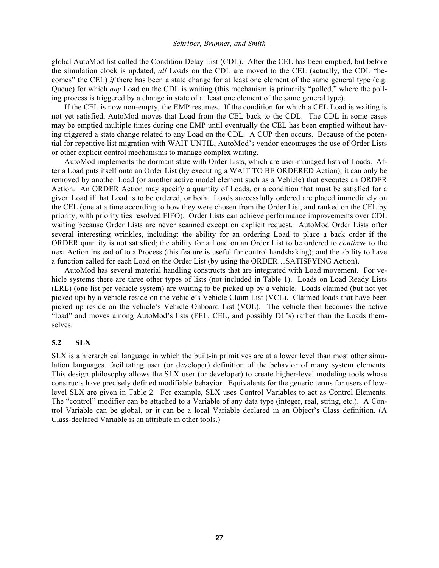global AutoMod list called the Condition Delay List (CDL). After the CEL has been emptied, but before the simulation clock is updated, *all* Loads on the CDL are moved to the CEL (actually, the CDL "becomes" the CEL) *if* there has been a state change for at least one element of the same general type (e.g. Queue) for which *any* Load on the CDL is waiting (this mechanism is primarily "polled," where the polling process is triggered by a change in state of at least one element of the same general type).

If the CEL is now non-empty, the EMP resumes. If the condition for which a CEL Load is waiting is not yet satisfied, AutoMod moves that Load from the CEL back to the CDL. The CDL in some cases may be emptied multiple times during one EMP until eventually the CEL has been emptied without having triggered a state change related to any Load on the CDL. A CUP then occurs. Because of the potential for repetitive list migration with WAIT UNTIL, AutoMod's vendor encourages the use of Order Lists or other explicit control mechanisms to manage complex waiting.

AutoMod implements the dormant state with Order Lists, which are user-managed lists of Loads. After a Load puts itself onto an Order List (by executing a WAIT TO BE ORDERED Action), it can only be removed by another Load (or another active model element such as a Vehicle) that executes an ORDER Action. An ORDER Action may specify a quantity of Loads, or a condition that must be satisfied for a given Load if that Load is to be ordered, or both. Loads successfully ordered are placed immediately on the CEL (one at a time according to how they were chosen from the Order List, and ranked on the CEL by priority, with priority ties resolved FIFO). Order Lists can achieve performance improvements over CDL waiting because Order Lists are never scanned except on explicit request. AutoMod Order Lists offer several interesting wrinkles, including: the ability for an ordering Load to place a back order if the ORDER quantity is not satisfied; the ability for a Load on an Order List to be ordered to *continue* to the next Action instead of to a Process (this feature is useful for control handshaking); and the ability to have a function called for each Load on the Order List (by using the ORDER…SATISFYING Action).

AutoMod has several material handling constructs that are integrated with Load movement. For vehicle systems there are three other types of lists (not included in Table 1). Loads on Load Ready Lists (LRL) (one list per vehicle system) are waiting to be picked up by a vehicle. Loads claimed (but not yet picked up) by a vehicle reside on the vehicle's Vehicle Claim List (VCL). Claimed loads that have been picked up reside on the vehicle's Vehicle Onboard List (VOL). The vehicle then becomes the active "load" and moves among AutoMod's lists (FEL, CEL, and possibly DL's) rather than the Loads themselves.

# **5.2 SLX**

SLX is a hierarchical language in which the built-in primitives are at a lower level than most other simulation languages, facilitating user (or developer) definition of the behavior of many system elements. This design philosophy allows the SLX user (or developer) to create higher-level modeling tools whose constructs have precisely defined modifiable behavior. Equivalents for the generic terms for users of lowlevel SLX are given in Table 2. For example, SLX uses Control Variables to act as Control Elements. The "control" modifier can be attached to a Variable of any data type (integer, real, string, etc.). A Control Variable can be global, or it can be a local Variable declared in an Object's Class definition. (A Class-declared Variable is an attribute in other tools.)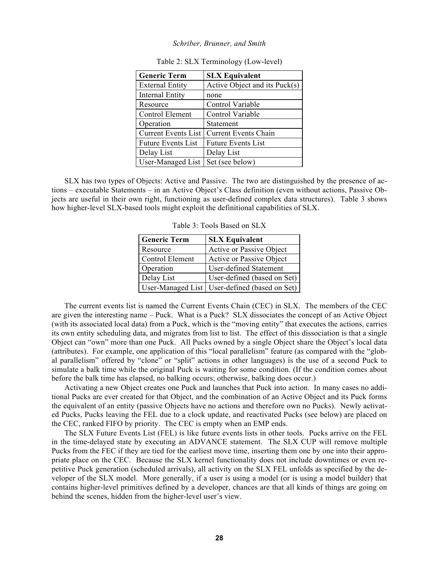| <b>Generic Term</b>        | <b>SLX Equivalent</b>         |
|----------------------------|-------------------------------|
| <b>External Entity</b>     | Active Object and its Puck(s) |
| <b>Internal Entity</b>     | none                          |
| Resource                   | Control Variable              |
| Control Element            | Control Variable              |
| Operation                  | Statement                     |
| <b>Current Events List</b> | <b>Current Events Chain</b>   |
| <b>Future Events List</b>  | <b>Future Events List</b>     |
| Delay List                 | Delay List                    |
| User-Managed List          | Set (see below)               |

|  | Table 2: SLX Terminology (Low-level) |  |
|--|--------------------------------------|--|
|--|--------------------------------------|--|

SLX has two types of Objects: Active and Passive. The two are distinguished by the presence of actions – executable Statements – in an Active Object's Class definition (even without actions, Passive Objects are useful in their own right, functioning as user-defined complex data structures). Table 3 shows how higher-level SLX-based tools might exploit the definitional capabilities of SLX.

| <b>Generic Term</b> | <b>SLX Equivalent</b>       |
|---------------------|-----------------------------|
| Resource            | Active or Passive Object    |
| Control Element     | Active or Passive Object    |
| Operation           | User-defined Statement      |
| Delay List          | User-defined (based on Set) |
| User-Managed List   | User-defined (based on Set) |

Table 3: Tools Based on SLX

The current events list is named the Current Events Chain (CEC) in SLX. The members of the CEC are given the interesting name – Puck. What is a Puck? SLX dissociates the concept of an Active Object (with its associated local data) from a Puck, which is the "moving entity" that executes the actions, carries its own entity scheduling data, and migrates from list to list. The effect of this dissociation is that a single Object can "own" more than one Puck. All Pucks owned by a single Object share the Object's local data (attributes). For example, one application of this "local parallelism" feature (as compared with the "global parallelism" offered by "clone" or "split" actions in other languages) is the use of a second Puck to simulate a balk time while the original Puck is waiting for some condition. (If the condition comes about before the balk time has elapsed, no balking occurs; otherwise, balking does occur.)

Activating a new Object creates one Puck and launches that Puck into action. In many cases no additional Pucks are ever created for that Object, and the combination of an Active Object and its Puck forms the equivalent of an entity (passive Objects have no actions and therefore own no Pucks). Newly activated Pucks, Pucks leaving the FEL due to a clock update, and reactivated Pucks (see below) are placed on the CEC, ranked FIFO by priority. The CEC is empty when an EMP ends.

The SLX Future Events List (FEL) is like future events lists in other tools. Pucks arrive on the FEL in the time-delayed state by executing an ADVANCE statement. The SLX CUP will remove multiple Pucks from the FEC if they are tied for the earliest move time, inserting them one by one into their appropriate place on the CEC. Because the SLX kernel functionality does not include downtimes or even repetitive Puck generation (scheduled arrivals), all activity on the SLX FEL unfolds as specified by the developer of the SLX model. More generally, if a user is using a model (or is using a model builder) that contains higher-level primitives defined by a developer, chances are that all kinds of things are going on behind the scenes, hidden from the higher-level user's view.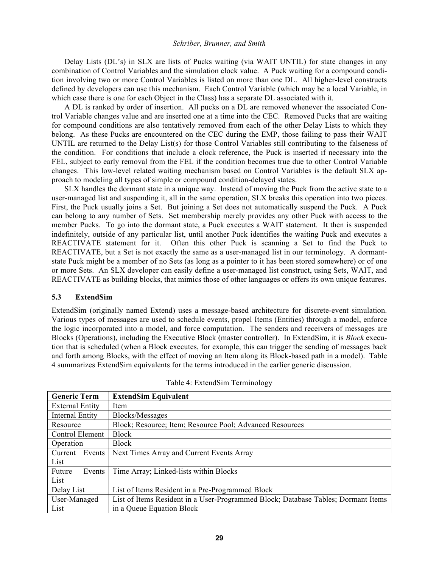Delay Lists (DL's) in SLX are lists of Pucks waiting (via WAIT UNTIL) for state changes in any combination of Control Variables and the simulation clock value. A Puck waiting for a compound condition involving two or more Control Variables is listed on more than one DL. All higher-level constructs defined by developers can use this mechanism. Each Control Variable (which may be a local Variable, in which case there is one for each Object in the Class) has a separate DL associated with it.

A DL is ranked by order of insertion. All pucks on a DL are removed whenever the associated Control Variable changes value and are inserted one at a time into the CEC. Removed Pucks that are waiting for compound conditions are also tentatively removed from each of the other Delay Lists to which they belong. As these Pucks are encountered on the CEC during the EMP, those failing to pass their WAIT UNTIL are returned to the Delay List(s) for those Control Variables still contributing to the falseness of the condition. For conditions that include a clock reference, the Puck is inserted if necessary into the FEL, subject to early removal from the FEL if the condition becomes true due to other Control Variable changes. This low-level related waiting mechanism based on Control Variables is the default SLX approach to modeling all types of simple or compound condition-delayed states.

SLX handles the dormant state in a unique way. Instead of moving the Puck from the active state to a user-managed list and suspending it, all in the same operation, SLX breaks this operation into two pieces. First, the Puck usually joins a Set. But joining a Set does not automatically suspend the Puck. A Puck can belong to any number of Sets. Set membership merely provides any other Puck with access to the member Pucks. To go into the dormant state, a Puck executes a WAIT statement. It then is suspended indefinitely, outside of any particular list, until another Puck identifies the waiting Puck and executes a REACTIVATE statement for it. Often this other Puck is scanning a Set to find the Puck to REACTIVATE, but a Set is not exactly the same as a user-managed list in our terminology. A dormantstate Puck might be a member of no Sets (as long as a pointer to it has been stored somewhere) or of one or more Sets. An SLX developer can easily define a user-managed list construct, using Sets, WAIT, and REACTIVATE as building blocks, that mimics those of other languages or offers its own unique features.

## **5.3 ExtendSim**

ExtendSim (originally named Extend) uses a message-based architecture for discrete-event simulation. Various types of messages are used to schedule events, propel Items (Entities) through a model, enforce the logic incorporated into a model, and force computation. The senders and receivers of messages are Blocks (Operations), including the Executive Block (master controller). In ExtendSim, it is *Block* execution that is scheduled (when a Block executes, for example, this can trigger the sending of messages back and forth among Blocks, with the effect of moving an Item along its Block-based path in a model). Table 4 summarizes ExtendSim equivalents for the terms introduced in the earlier generic discussion.

| <b>Generic Term</b>    | <b>ExtendSim Equivalent</b>                                                       |
|------------------------|-----------------------------------------------------------------------------------|
| <b>External Entity</b> | Item                                                                              |
| <b>Internal Entity</b> | Blocks/Messages                                                                   |
| Resource               | Block; Resource; Item; Resource Pool; Advanced Resources                          |
| Control Element        | <b>Block</b>                                                                      |
| Operation              | <b>Block</b>                                                                      |
| Current<br>Events      | Next Times Array and Current Events Array                                         |
| List                   |                                                                                   |
| Future<br>Events       | Time Array; Linked-lists within Blocks                                            |
| List                   |                                                                                   |
| Delay List             | List of Items Resident in a Pre-Programmed Block                                  |
| User-Managed           | List of Items Resident in a User-Programmed Block; Database Tables; Dormant Items |
| List                   | in a Queue Equation Block                                                         |

|  |  | Table 4: ExtendSim Terminology |
|--|--|--------------------------------|
|--|--|--------------------------------|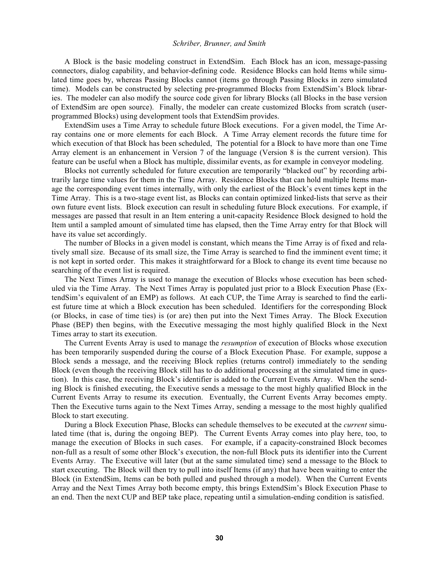A Block is the basic modeling construct in ExtendSim. Each Block has an icon, message-passing connectors, dialog capability, and behavior-defining code. Residence Blocks can hold Items while simulated time goes by, whereas Passing Blocks cannot (items go through Passing Blocks in zero simulated time). Models can be constructed by selecting pre-programmed Blocks from ExtendSim's Block libraries. The modeler can also modify the source code given for library Blocks (all Blocks in the base version of ExtendSim are open source). Finally, the modeler can create customized Blocks from scratch (userprogrammed Blocks) using development tools that ExtendSim provides.

ExtendSim uses a Time Array to schedule future Block executions. For a given model, the Time Array contains one or more elements for each Block. A Time Array element records the future time for which execution of that Block has been scheduled, The potential for a Block to have more than one Time Array element is an enhancement in Version 7 of the language (Version 8 is the current version). This feature can be useful when a Block has multiple, dissimilar events, as for example in conveyor modeling.

Blocks not currently scheduled for future execution are temporarily "blacked out" by recording arbitrarily large time values for them in the Time Array. Residence Blocks that can hold multiple Items manage the corresponding event times internally, with only the earliest of the Block's event times kept in the Time Array. This is a two-stage event list, as Blocks can contain optimized linked-lists that serve as their own future event lists. Block execution can result in scheduling future Block executions. For example, if messages are passed that result in an Item entering a unit-capacity Residence Block designed to hold the Item until a sampled amount of simulated time has elapsed, then the Time Array entry for that Block will have its value set accordingly.

The number of Blocks in a given model is constant, which means the Time Array is of fixed and relatively small size. Because of its small size, the Time Array is searched to find the imminent event time; it is not kept in sorted order. This makes it straightforward for a Block to change its event time because no searching of the event list is required.

The Next Times Array is used to manage the execution of Blocks whose execution has been scheduled via the Time Array. The Next Times Array is populated just prior to a Block Execution Phase (ExtendSim's equivalent of an EMP) as follows. At each CUP, the Time Array is searched to find the earliest future time at which a Block execution has been scheduled. Identifiers for the corresponding Block (or Blocks, in case of time ties) is (or are) then put into the Next Times Array. The Block Execution Phase (BEP) then begins, with the Executive messaging the most highly qualified Block in the Next Times array to start its execution.

The Current Events Array is used to manage the *resumption* of execution of Blocks whose execution has been temporarily suspended during the course of a Block Execution Phase. For example, suppose a Block sends a message, and the receiving Block replies (returns control) immediately to the sending Block (even though the receiving Block still has to do additional processing at the simulated time in question). In this case, the receiving Block's identifier is added to the Current Events Array. When the sending Block is finished executing, the Executive sends a message to the most highly qualified Block in the Current Events Array to resume its execution. Eventually, the Current Events Array becomes empty. Then the Executive turns again to the Next Times Array, sending a message to the most highly qualified Block to start executing.

During a Block Execution Phase, Blocks can schedule themselves to be executed at the *current* simulated time (that is, during the ongoing BEP). The Current Events Array comes into play here, too, to manage the execution of Blocks in such cases. For example, if a capacity-constrained Block becomes non-full as a result of some other Block's execution, the non-full Block puts its identifier into the Current Events Array. The Executive will later (but at the same simulated time) send a message to the Block to start executing. The Block will then try to pull into itself Items (if any) that have been waiting to enter the Block (in ExtendSim, Items can be both pulled and pushed through a model). When the Current Events Array and the Next Times Array both become empty, this brings ExtendSim's Block Execution Phase to an end. Then the next CUP and BEP take place, repeating until a simulation-ending condition is satisfied.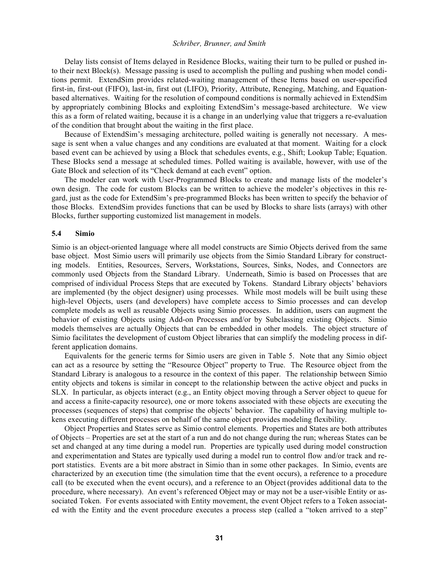Delay lists consist of Items delayed in Residence Blocks, waiting their turn to be pulled or pushed into their next Block(s). Message passing is used to accomplish the pulling and pushing when model conditions permit. ExtendSim provides related-waiting management of these Items based on user-specified first-in, first-out (FIFO), last-in, first out (LIFO), Priority, Attribute, Reneging, Matching, and Equationbased alternatives. Waiting for the resolution of compound conditions is normally achieved in ExtendSim by appropriately combining Blocks and exploiting ExtendSim's message-based architecture. We view this as a form of related waiting, because it is a change in an underlying value that triggers a re-evaluation of the condition that brought about the waiting in the first place.

Because of ExtendSim's messaging architecture, polled waiting is generally not necessary. A message is sent when a value changes and any conditions are evaluated at that moment. Waiting for a clock based event can be achieved by using a Block that schedules events, e.g., Shift; Lookup Table; Equation. These Blocks send a message at scheduled times. Polled waiting is available, however, with use of the Gate Block and selection of its "Check demand at each event" option.

The modeler can work with User-Programmed Blocks to create and manage lists of the modeler's own design. The code for custom Blocks can be written to achieve the modeler's objectives in this regard, just as the code for ExtendSim's pre-programmed Blocks has been written to specify the behavior of those Blocks. ExtendSim provides functions that can be used by Blocks to share lists (arrays) with other Blocks, further supporting customized list management in models.

## **5.4 Simio**

Simio is an object-oriented language where all model constructs are Simio Objects derived from the same base object. Most Simio users will primarily use objects from the Simio Standard Library for constructing models. Entities, Resources, Servers, Workstations, Sources, Sinks, Nodes, and Connectors are commonly used Objects from the Standard Library. Underneath, Simio is based on Processes that are comprised of individual Process Steps that are executed by Tokens. Standard Library objects' behaviors are implemented (by the object designer) using processes. While most models will be built using these high-level Objects, users (and developers) have complete access to Simio processes and can develop complete models as well as reusable Objects using Simio processes. In addition, users can augment the behavior of existing Objects using Add-on Processes and/or by Subclassing existing Objects. Simio models themselves are actually Objects that can be embedded in other models. The object structure of Simio facilitates the development of custom Object libraries that can simplify the modeling process in different application domains.

Equivalents for the generic terms for Simio users are given in Table 5. Note that any Simio object can act as a resource by setting the "Resource Object" property to True. The Resource object from the Standard Library is analogous to a resource in the context of this paper. The relationship between Simio entity objects and tokens is similar in concept to the relationship between the active object and pucks in SLX. In particular, as objects interact (e.g., an Entity object moving through a Server object to queue for and access a finite-capacity resource), one or more tokens associated with these objects are executing the processes (sequences of steps) that comprise the objects' behavior. The capability of having multiple tokens executing different processes on behalf of the same object provides modeling flexibility.

Object Properties and States serve as Simio control elements. Properties and States are both attributes of Objects – Properties are set at the start of a run and do not change during the run; whereas States can be set and changed at any time during a model run. Properties are typically used during model construction and experimentation and States are typically used during a model run to control flow and/or track and report statistics. Events are a bit more abstract in Simio than in some other packages. In Simio, events are characterized by an execution time (the simulation time that the event occurs), a reference to a procedure call (to be executed when the event occurs), and a reference to an Object (provides additional data to the procedure, where necessary). An event's referenced Object may or may not be a user-visible Entity or associated Token. For events associated with Entity movement, the event Object refers to a Token associated with the Entity and the event procedure executes a process step (called a "token arrived to a step"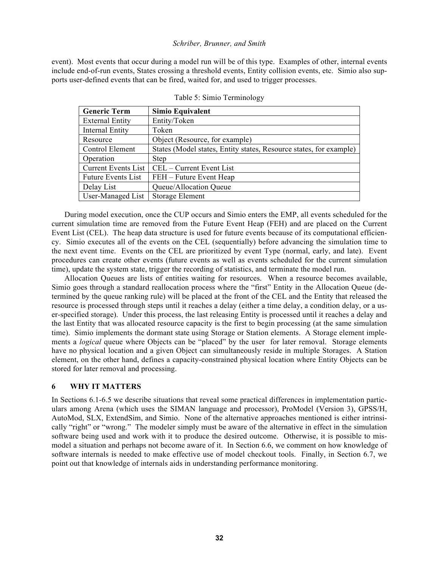event). Most events that occur during a model run will be of this type. Examples of other, internal events include end-of-run events, States crossing a threshold events, Entity collision events, etc. Simio also supports user-defined events that can be fired, waited for, and used to trigger processes.

| <b>Generic Term</b>        | Simio Equivalent                                                   |
|----------------------------|--------------------------------------------------------------------|
| <b>External Entity</b>     | Entity/Token                                                       |
| <b>Internal Entity</b>     | Token                                                              |
| Resource                   | Object (Resource, for example)                                     |
| Control Element            | States (Model states, Entity states, Resource states, for example) |
| Operation                  | <b>Step</b>                                                        |
| <b>Current Events List</b> | CEL – Current Event List                                           |
| <b>Future Events List</b>  | FEH – Future Event Heap                                            |
| Delay List                 | Queue/Allocation Queue                                             |
| User-Managed List          | <b>Storage Element</b>                                             |

Table 5: Simio Terminology

During model execution, once the CUP occurs and Simio enters the EMP, all events scheduled for the current simulation time are removed from the Future Event Heap (FEH) and are placed on the Current Event List (CEL). The heap data structure is used for future events because of its computational efficiency. Simio executes all of the events on the CEL (sequentially) before advancing the simulation time to the next event time. Events on the CEL are prioritized by event Type (normal, early, and late). Event procedures can create other events (future events as well as events scheduled for the current simulation time), update the system state, trigger the recording of statistics, and terminate the model run.

Allocation Queues are lists of entities waiting for resources. When a resource becomes available, Simio goes through a standard reallocation process where the "first" Entity in the Allocation Queue (determined by the queue ranking rule) will be placed at the front of the CEL and the Entity that released the resource is processed through steps until it reaches a delay (either a time delay, a condition delay, or a user-specified storage). Under this process, the last releasing Entity is processed until it reaches a delay and the last Entity that was allocated resource capacity is the first to begin processing (at the same simulation time). Simio implements the dormant state using Storage or Station elements. A Storage element implements a *logical* queue where Objects can be "placed" by the user for later removal. Storage elements have no physical location and a given Object can simultaneously reside in multiple Storages. A Station element, on the other hand, defines a capacity-constrained physical location where Entity Objects can be stored for later removal and processing.

# **6 WHY IT MATTERS**

In Sections 6.1-6.5 we describe situations that reveal some practical differences in implementation particulars among Arena (which uses the SIMAN language and processor), ProModel (Version 3), GPSS/H, AutoMod, SLX, ExtendSim, and Simio. None of the alternative approaches mentioned is either intrinsically "right" or "wrong." The modeler simply must be aware of the alternative in effect in the simulation software being used and work with it to produce the desired outcome. Otherwise, it is possible to mismodel a situation and perhaps not become aware of it. In Section 6.6, we comment on how knowledge of software internals is needed to make effective use of model checkout tools. Finally, in Section 6.7, we point out that knowledge of internals aids in understanding performance monitoring.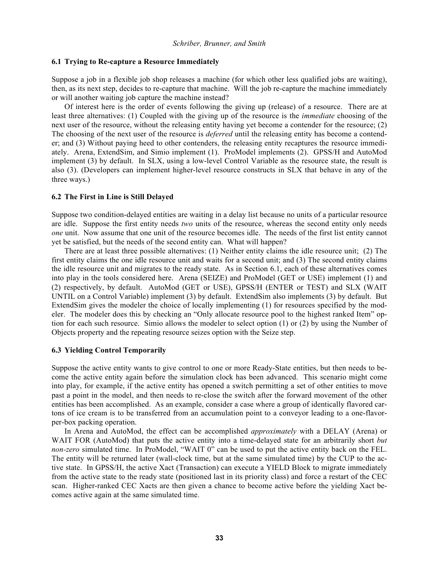## **6.1 Trying to Re-capture a Resource Immediately**

Suppose a job in a flexible job shop releases a machine (for which other less qualified jobs are waiting), then, as its next step, decides to re-capture that machine. Will the job re-capture the machine immediately or will another waiting job capture the machine instead?

Of interest here is the order of events following the giving up (release) of a resource. There are at least three alternatives: (1) Coupled with the giving up of the resource is the *immediate* choosing of the next user of the resource, without the releasing entity having yet become a contender for the resource; (2) The choosing of the next user of the resource is *deferred* until the releasing entity has become a contender; and (3) Without paying heed to other contenders, the releasing entity recaptures the resource immediately. Arena, ExtendSim, and Simio implement (1). ProModel implements (2). GPSS/H and AutoMod implement (3) by default. In SLX, using a low-level Control Variable as the resource state, the result is also (3). (Developers can implement higher-level resource constructs in SLX that behave in any of the three ways.)

## **6.2 The First in Line is Still Delayed**

Suppose two condition-delayed entities are waiting in a delay list because no units of a particular resource are idle. Suppose the first entity needs *two* units of the resource, whereas the second entity only needs *one* unit. Now assume that one unit of the resource becomes idle. The needs of the first list entity cannot yet be satisfied, but the needs of the second entity can. What will happen?

There are at least three possible alternatives: (1) Neither entity claims the idle resource unit; (2) The first entity claims the one idle resource unit and waits for a second unit; and (3) The second entity claims the idle resource unit and migrates to the ready state. As in Section 6.1, each of these alternatives comes into play in the tools considered here. Arena (SEIZE) and ProModel (GET or USE) implement (1) and (2) respectively, by default. AutoMod (GET or USE), GPSS/H (ENTER or TEST) and SLX (WAIT UNTIL on a Control Variable) implement (3) by default. ExtendSim also implements (3) by default. But ExtendSim gives the modeler the choice of locally implementing (1) for resources specified by the modeler. The modeler does this by checking an "Only allocate resource pool to the highest ranked Item" option for each such resource. Simio allows the modeler to select option (1) or (2) by using the Number of Objects property and the repeating resource seizes option with the Seize step.

## **6.3 Yielding Control Temporarily**

Suppose the active entity wants to give control to one or more Ready-State entities, but then needs to become the active entity again before the simulation clock has been advanced. This scenario might come into play, for example, if the active entity has opened a switch permitting a set of other entities to move past a point in the model, and then needs to re-close the switch after the forward movement of the other entities has been accomplished. As an example, consider a case where a group of identically flavored cartons of ice cream is to be transferred from an accumulation point to a conveyor leading to a one-flavorper-box packing operation.

In Arena and AutoMod, the effect can be accomplished *approximately* with a DELAY (Arena) or WAIT FOR (AutoMod) that puts the active entity into a time-delayed state for an arbitrarily short *but non-zero* simulated time. In ProModel, "WAIT 0" can be used to put the active entity back on the FEL. The entity will be returned later (wall-clock time, but at the same simulated time) by the CUP to the active state. In GPSS/H, the active Xact (Transaction) can execute a YIELD Block to migrate immediately from the active state to the ready state (positioned last in its priority class) and force a restart of the CEC scan. Higher-ranked CEC Xacts are then given a chance to become active before the yielding Xact becomes active again at the same simulated time.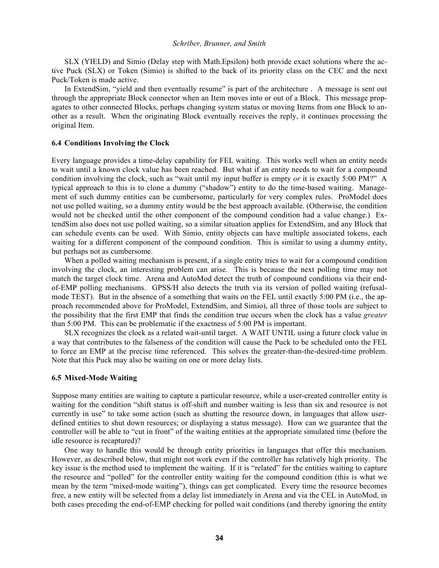SLX (YIELD) and Simio (Delay step with Math.Epsilon) both provide exact solutions where the active Puck (SLX) or Token (Simio) is shifted to the back of its priority class on the CEC and the next Puck/Token is made active.

In ExtendSim, "yield and then eventually resume" is part of the architecture. A message is sent out through the appropriate Block connector when an Item moves into or out of a Block. This message propagates to other connected Blocks, perhaps changing system status or moving Items from one Block to another as a result. When the originating Block eventually receives the reply, it continues processing the original Item.

# **6.4 Conditions Involving the Clock**

Every language provides a time-delay capability for FEL waiting. This works well when an entity needs to wait until a known clock value has been reached. But what if an entity needs to wait for a compound condition involving the clock, such as "wait until my input buffer is empty *or* it is exactly 5:00 PM?" A typical approach to this is to clone a dummy ("shadow") entity to do the time-based waiting. Management of such dummy entities can be cumbersome, particularly for very complex rules. ProModel does not use polled waiting, so a dummy entity would be the best approach available. (Otherwise, the condition would not be checked until the other component of the compound condition had a value change.) ExtendSim also does not use polled waiting, so a similar situation applies for ExtendSim, and any Block that can schedule events can be used. With Simio, entity objects can have multiple associated tokens, each waiting for a different component of the compound condition. This is similar to using a dummy entity, but perhaps not as cumbersome.

When a polled waiting mechanism is present, if a single entity tries to wait for a compound condition involving the clock, an interesting problem can arise. This is because the next polling time may not match the target clock time. Arena and AutoMod detect the truth of compound conditions via their endof-EMP polling mechanisms. GPSS/H also detects the truth via its version of polled waiting (refusalmode TEST). But in the absence of a something that waits on the FEL until exactly 5:00 PM (i.e., the approach recommended above for ProModel, ExtendSim, and Simio), all three of those tools are subject to the possibility that the first EMP that finds the condition true occurs when the clock has a value *greater* than 5:00 PM. This can be problematic if the exactness of 5:00 PM is important.

SLX recognizes the clock as a related wait-until target. A WAIT UNTIL using a future clock value in a way that contributes to the falseness of the condition will cause the Puck to be scheduled onto the FEL to force an EMP at the precise time referenced. This solves the greater-than-the-desired-time problem. Note that this Puck may also be waiting on one or more delay lists.

#### **6.5 Mixed-Mode Waiting**

Suppose many entities are waiting to capture a particular resource, while a user-created controller entity is waiting for the condition "shift status is off-shift and number waiting is less than six and resource is not currently in use" to take some action (such as shutting the resource down, in languages that allow userdefined entities to shut down resources; or displaying a status message). How can we guarantee that the controller will be able to "cut in front" of the waiting entities at the appropriate simulated time (before the idle resource is recaptured)?

One way to handle this would be through entity priorities in languages that offer this mechanism. However, as described below, that might not work even if the controller has relatively high priority. The key issue is the method used to implement the waiting. If it is "related" for the entities waiting to capture the resource and "polled" for the controller entity waiting for the compound condition (this is what we mean by the term "mixed-mode waiting"), things can get complicated. Every time the resource becomes free, a new entity will be selected from a delay list immediately in Arena and via the CEL in AutoMod, in both cases preceding the end-of-EMP checking for polled wait conditions (and thereby ignoring the entity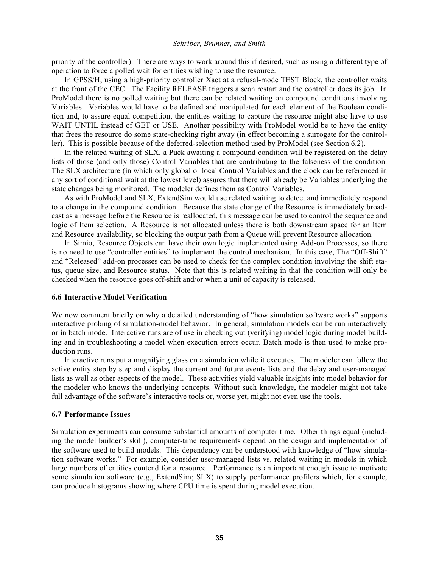priority of the controller). There are ways to work around this if desired, such as using a different type of operation to force a polled wait for entities wishing to use the resource.

In GPSS/H, using a high-priority controller Xact at a refusal-mode TEST Block, the controller waits at the front of the CEC. The Facility RELEASE triggers a scan restart and the controller does its job. In ProModel there is no polled waiting but there can be related waiting on compound conditions involving Variables. Variables would have to be defined and manipulated for each element of the Boolean condition and, to assure equal competition, the entities waiting to capture the resource might also have to use WAIT UNTIL instead of GET or USE. Another possibility with ProModel would be to have the entity that frees the resource do some state-checking right away (in effect becoming a surrogate for the controller). This is possible because of the deferred-selection method used by ProModel (see Section 6.2).

In the related waiting of SLX, a Puck awaiting a compound condition will be registered on the delay lists of those (and only those) Control Variables that are contributing to the falseness of the condition. The SLX architecture (in which only global or local Control Variables and the clock can be referenced in any sort of conditional wait at the lowest level) assures that there will already be Variables underlying the state changes being monitored. The modeler defines them as Control Variables.

As with ProModel and SLX, ExtendSim would use related waiting to detect and immediately respond to a change in the compound condition. Because the state change of the Resource is immediately broadcast as a message before the Resource is reallocated, this message can be used to control the sequence and logic of Item selection. A Resource is not allocated unless there is both downstream space for an Item and Resource availability, so blocking the output path from a Queue will prevent Resource allocation.

In Simio, Resource Objects can have their own logic implemented using Add-on Processes, so there is no need to use "controller entities" to implement the control mechanism. In this case, The "Off-Shift" and "Released" add-on processes can be used to check for the complex condition involving the shift status, queue size, and Resource status. Note that this is related waiting in that the condition will only be checked when the resource goes off-shift and/or when a unit of capacity is released.

#### **6.6 Interactive Model Verification**

We now comment briefly on why a detailed understanding of "how simulation software works" supports interactive probing of simulation-model behavior. In general, simulation models can be run interactively or in batch mode. Interactive runs are of use in checking out (verifying) model logic during model building and in troubleshooting a model when execution errors occur. Batch mode is then used to make production runs.

Interactive runs put a magnifying glass on a simulation while it executes. The modeler can follow the active entity step by step and display the current and future events lists and the delay and user-managed lists as well as other aspects of the model. These activities yield valuable insights into model behavior for the modeler who knows the underlying concepts. Without such knowledge, the modeler might not take full advantage of the software's interactive tools or, worse yet, might not even use the tools.

## **6.7 Performance Issues**

Simulation experiments can consume substantial amounts of computer time. Other things equal (including the model builder's skill), computer-time requirements depend on the design and implementation of the software used to build models. This dependency can be understood with knowledge of "how simulation software works." For example, consider user-managed lists vs. related waiting in models in which large numbers of entities contend for a resource. Performance is an important enough issue to motivate some simulation software (e.g., ExtendSim; SLX) to supply performance profilers which, for example, can produce histograms showing where CPU time is spent during model execution.